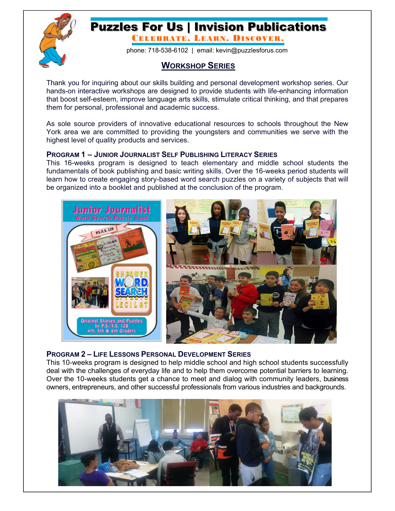

## Puzzles For Us | Invision Publications

CELEBRATE. LEARN. DISCOVER.

phone: 718-538-6102 | email: kevin@puzzlesforus.com

## **WORKSHOP SERIES**

Thank you for inquiring about our skills building and personal development workshop series. Our hands-on interactive workshops are designed to provide students with life-enhancing information that boost self-esteem, improve language arts skills, stimulate critical thinking, and that prepares them for personal, professional and academic success.

As sole source providers of innovative educational resources to schools throughout the New York area we are committed to providing the youngsters and communities we serve with the highest level of quality products and services.

## **PROGRAM 1 – JUNIOR JOURNALIST SELF PUBLISHING LITERACY SERIES**

This 16-weeks program is designed to teach elementary and middle school students the fundamentals of book publishing and basic writing skills. Over the 16-weeks period students will learn how to create engaging story-based word search puzzles on a variety of subjects that will be organized into a booklet and published at the conclusion of the program.



## **PROGRAM 2 – LIFE LESSONS PERSONAL DEVELOPMENT SERIES**

This 10-weeks program is designed to help middle school and high school students successfully deal with the challenges of everyday life and to help them overcome potential barriers to learning. Over the 10-weeks students get a chance to meet and dialog with community leaders, business owners, entrepreneurs, and other successful professionals from various industries and backgrounds.